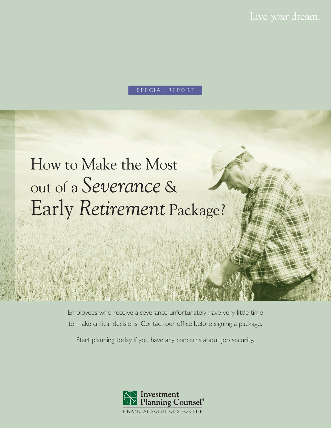#### SPECIAL REPORT

## How to Make the Most out of a *Severance* & Early *Retirement* Package?

Employees who receive a severance unfortunately have very little time to make critical decisions. Contact our office before signing a package.

Start planning today if you have any concerns about job security.

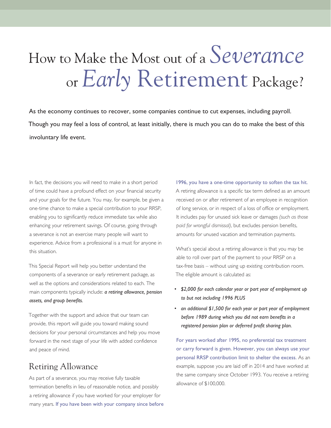# How to Make the Most out of a *Severance*or *Early* Retirement Package?

As the economy continues to recover, some companies continue to cut expenses, including payroll. Though you may feel a loss of control, at least initially, there is much you can do to make the best of this involuntary life event.

In fact, the decisions you will need to make in a short period of time could have a profound effect on your financial security and your goals for the future. You may, for example, be given a one-time chance to make a special contribution to your RRSP, enabling you to significantly reduce immediate tax while also enhancing your retirement savings. Of course, going through a severance is not an exercise many people will want to experience. Advice from a professional is a must for anyone in this situation.

This Special Report will help you better understand the components of a severance or early retirement package, as well as the options and considerations related to each. The main components typically include: *a retiring allowance, pension assets, and group benefits.*

Together with the support and advice that our team can provide, this report will guide you toward making sound decisions for your personal circumstances and help you move forward in the next stage of your life with added confidence and peace of mind.

## Retiring Allowance

As part of a severance, you may receive fully taxable termination benefits in lieu of reasonable notice, and possibly a retiring allowance if you have worked for your employer for many years. If you have been with your company since before

1996, you have a one-time opportunity to soften the tax hit. A retiring allowance is a specific tax term defined as an amount received on or after retirement of an employee in recognition of long service, or in respect of a loss of office or employment. It includes pay for unused sick leave or damages *(such as those paid for wrongful dismissal)*, but excludes pension benefits, amounts for unused vacation and termination payments.

What's special about a retiring allowance is that you may be able to roll over part of the payment to your RRSP on a tax-free basis – without using up existing contribution room. The eligible amount is calculated as:

- *\$2,000 for each calendar year or part year of employment up to but not including 1996 PLUS*
- *an additional \$1,500 for each year or part year of employment before 1989 during which you did not earn benefits in a registered pension plan or deferred profit sharing plan.*

For years worked after 1995, no preferential tax treatment or carry forward is given. However, you can always use your personal RRSP contribution limit to shelter the excess. As an example, suppose you are laid off in 2014 and have worked at the same company since October 1993. You receive a retiring allowance of \$100,000.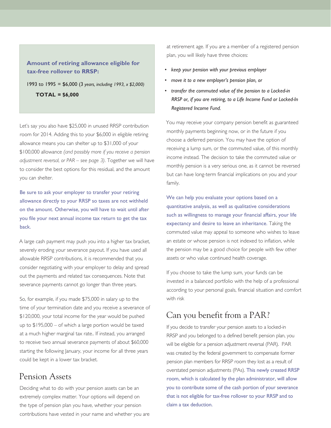#### **Amount of retiring allowance eligible for tax-free rollover to RRSP:**

1993 to 1995 = \$6,000 (3 *years, including 1993, x \$2,000)* **TOTAL = \$6,000**

Let's say you also have \$25,000 in unused RRSP contribution room for 2014. Adding this to your \$6,000 in eligible retiring allowance means you can shelter up to \$31,000 of your \$100,000 allowance *(and possibly more if you receive a pension adjustment reversal, or PAR – see page 3)*. Together we will have to consider the best options for this residual, and the amount you can shelter.

Be sure to ask your employer to transfer your retiring allowance directly to your RRSP so taxes are not withheld on the amount. Otherwise, you will have to wait until after you file your next annual income tax return to get the tax back.

A large cash payment may push you into a higher tax bracket, severely eroding your severance payout. If you have used all allowable RRSP contributions, it is recommended that you consider negotiating with your employer to delay and spread out the payments and related tax consequences. Note that severance payments cannot go longer than three years.

So, for example, if you made \$75,000 in salary up to the time of your termination date and you receive a severance of \$120,000, your total income for the year would be pushed up to \$195,000 – of which a large portion would be taxed at a much higher marginal tax rate.. If instead, you arranged to receive two annual severance payments of about \$60,000 starting the following January, your income for all three years could be kept in a lower tax bracket.

#### Pension Assets

Deciding what to do with your pension assets can be an extremely complex matter. Your options will depend on the type of pension plan you have, whether your pension contributions have vested in your name and whether you are at retirement age. If you are a member of a registered pension plan, you will likely have three choices:

- *• keep your pension with your previous employer*
- *• move it to a new employer's pension plan, or*
- *transfer the commuted value of the pension to a Locked-in RRSP or, if you are retiring, to a Life Income Fund or Locked-In Registered Income Fund.*

You may receive your company pension benefit as guaranteed monthly payments beginning now, or in the future if you choose a deferred pension. You may have the option of receiving a lump sum, or the commuted value, of this monthly income instead. The decision to take the commuted value or monthly pension is a very serious one, as it cannot be reversed but can have long-term financial implications on you and your family.

We can help you evaluate your options based on a quantitative analysis, as well as qualitative considerations such as willingness to manage your financial affairs, your life expectancy and desire to leave an inheritance. Taking the commuted value may appeal to someone who wishes to leave an estate or whose pension is not indexed to inflation, while the pension may be a good choice for people with few other assets or who value continued health coverage.

If you choose to take the lump sum, your funds can be invested in a balanced portfolio with the help of a professional according to your personal goals, financial situation and comfort with risk

### Can you benefit from a PAR?

If you decide to transfer your pension assets to a locked-in RRSP and you belonged to a defined benefit pension plan, you will be eligible for a pension adjustment reversal (PAR). PAR was created by the federal government to compensate former pension plan members for RRSP room they lost as a result of overstated pension adjustments (PAs). This newly created RRSP room, which is calculated by the plan administrator, will allow you to contribute some of the cash portion of your severance that is not eligible for tax-free rollover to your RRSP and to claim a tax deduction.